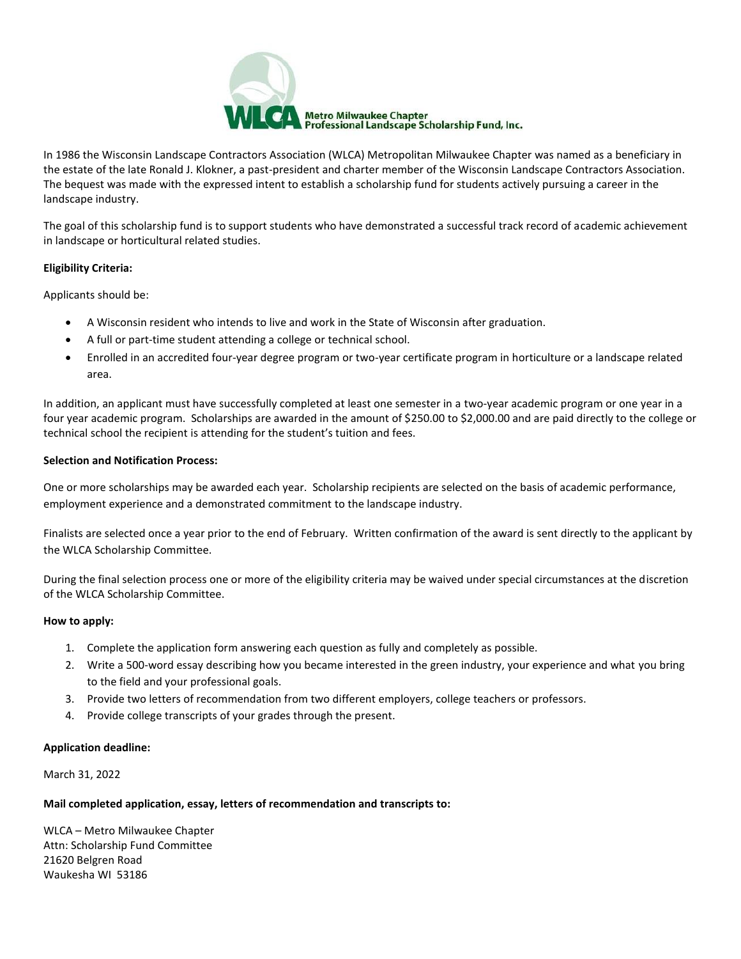

In 1986 the Wisconsin Landscape Contractors Association (WLCA) Metropolitan Milwaukee Chapter was named as a beneficiary in the estate of the late Ronald J. Klokner, a past-president and charter member of the Wisconsin Landscape Contractors Association. The bequest was made with the expressed intent to establish a scholarship fund for students actively pursuing a career in the landscape industry.

The goal of this scholarship fund is to support students who have demonstrated a successful track record of academic achievement in landscape or horticultural related studies.

### **Eligibility Criteria:**

Applicants should be:

- A Wisconsin resident who intends to live and work in the State of Wisconsin after graduation.
- A full or part-time student attending a college or technical school.
- Enrolled in an accredited four-year degree program or two-year certificate program in horticulture or a landscape related area.

In addition, an applicant must have successfully completed at least one semester in a two-year academic program or one year in a four year academic program. Scholarships are awarded in the amount of \$250.00 to \$2,000.00 and are paid directly to the college or technical school the recipient is attending for the student's tuition and fees.

### **Selection and Notification Process:**

One or more scholarships may be awarded each year. Scholarship recipients are selected on the basis of academic performance, employment experience and a demonstrated commitment to the landscape industry.

Finalists are selected once a year prior to the end of February. Written confirmation of the award is sent directly to the applicant by the WLCA Scholarship Committee.

During the final selection process one or more of the eligibility criteria may be waived under special circumstances at the discretion of the WLCA Scholarship Committee.

### **How to apply:**

- 1. Complete the application form answering each question as fully and completely as possible.
- 2. Write a 500-word essay describing how you became interested in the green industry, your experience and what you bring to the field and your professional goals.
- 3. Provide two letters of recommendation from two different employers, college teachers or professors.
- 4. Provide college transcripts of your grades through the present.

### **Application deadline:**

March 31, 2022

### **Mail completed application, essay, letters of recommendation and transcripts to:**

WLCA – Metro Milwaukee Chapter Attn: Scholarship Fund Committee 21620 Belgren Road Waukesha WI 53186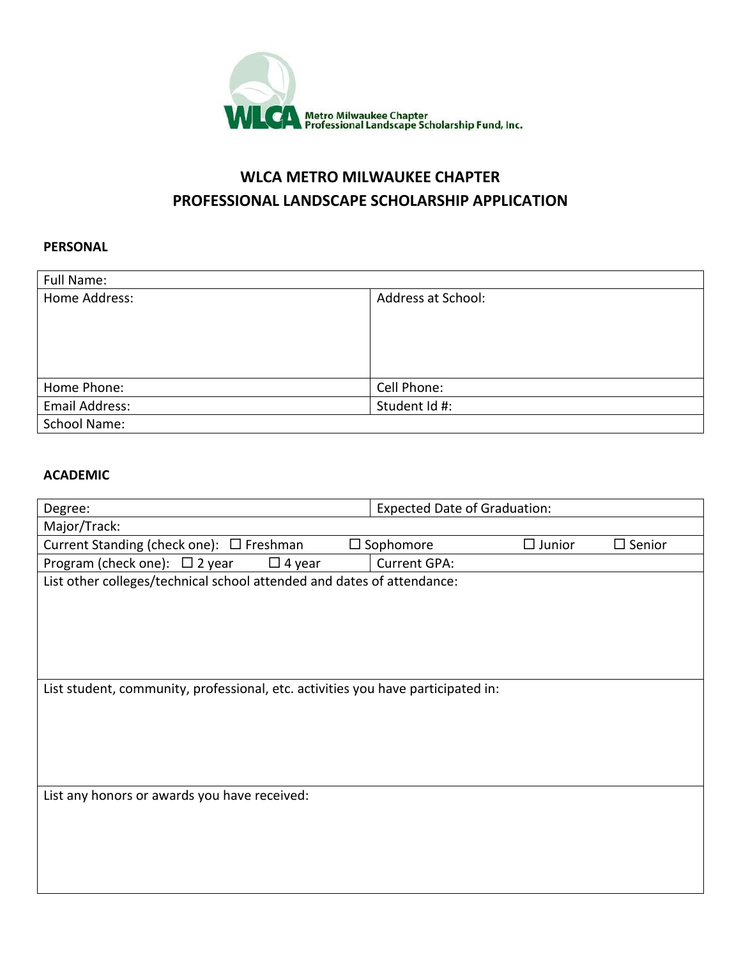

# **WLCA METRO MILWAUKEE CHAPTER PROFESSIONAL LANDSCAPE SCHOLARSHIP APPLICATION**

## **PERSONAL**

| Full Name:          |                           |
|---------------------|---------------------------|
| Home Address:       | <b>Address at School:</b> |
| Home Phone:         | Cell Phone:               |
| Email Address:      | Student Id #:             |
| <b>School Name:</b> |                           |

### **ACADEMIC**

| Degree:                                                                          | <b>Expected Date of Graduation:</b>                                    |  |  |  |
|----------------------------------------------------------------------------------|------------------------------------------------------------------------|--|--|--|
| Major/Track:                                                                     |                                                                        |  |  |  |
| Current Standing (check one): $\Box$ Freshman                                    | $\Box$ Sophomore<br>$\square$ Junior<br>$\square$ Senior               |  |  |  |
| Program (check one): $\Box$ 2 year<br>$\Box$ 4 year                              | <b>Current GPA:</b>                                                    |  |  |  |
|                                                                                  | List other colleges/technical school attended and dates of attendance: |  |  |  |
|                                                                                  |                                                                        |  |  |  |
|                                                                                  |                                                                        |  |  |  |
|                                                                                  |                                                                        |  |  |  |
|                                                                                  |                                                                        |  |  |  |
|                                                                                  |                                                                        |  |  |  |
| List student, community, professional, etc. activities you have participated in: |                                                                        |  |  |  |
|                                                                                  |                                                                        |  |  |  |
|                                                                                  |                                                                        |  |  |  |
|                                                                                  |                                                                        |  |  |  |
|                                                                                  |                                                                        |  |  |  |
|                                                                                  |                                                                        |  |  |  |
| List any honors or awards you have received:                                     |                                                                        |  |  |  |
|                                                                                  |                                                                        |  |  |  |
|                                                                                  |                                                                        |  |  |  |
|                                                                                  |                                                                        |  |  |  |
|                                                                                  |                                                                        |  |  |  |
|                                                                                  |                                                                        |  |  |  |